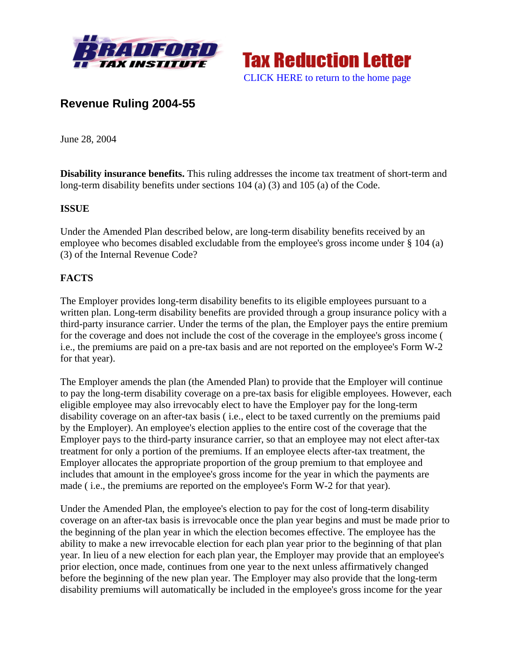



# **Revenue Ruling 2004-55**

June 28, 2004

**Disability insurance benefits.** This ruling addresses the income tax treatment of short-term and long-term disability benefits under sections 104 (a) (3) and 105 (a) of the Code.

#### **ISSUE**

Under the Amended Plan described below, are long-term disability benefits received by an employee who becomes disabled excludable from the employee's gross income under § 104 (a) (3) of the Internal Revenue Code?

# **FACTS**

The Employer provides long-term disability benefits to its eligible employees pursuant to a written plan. Long-term disability benefits are provided through a group insurance policy with a third-party insurance carrier. Under the terms of the plan, the Employer pays the entire premium for the coverage and does not include the cost of the coverage in the employee's gross income ( i.e., the premiums are paid on a pre-tax basis and are not reported on the employee's Form W-2 for that year).

The Employer amends the plan (the Amended Plan) to provide that the Employer will continue to pay the long-term disability coverage on a pre-tax basis for eligible employees. However, each eligible employee may also irrevocably elect to have the Employer pay for the long-term disability coverage on an after-tax basis ( i.e., elect to be taxed currently on the premiums paid by the Employer). An employee's election applies to the entire cost of the coverage that the Employer pays to the third-party insurance carrier, so that an employee may not elect after-tax treatment for only a portion of the premiums. If an employee elects after-tax treatment, the Employer allocates the appropriate proportion of the group premium to that employee and includes that amount in the employee's gross income for the year in which the payments are made ( i.e., the premiums are reported on the employee's Form W-2 for that year).

Under the Amended Plan, the employee's election to pay for the cost of long-term disability coverage on an after-tax basis is irrevocable once the plan year begins and must be made prior to the beginning of the plan year in which the election becomes effective. The employee has the ability to make a new irrevocable election for each plan year prior to the beginning of that plan year. In lieu of a new election for each plan year, the Employer may provide that an employee's prior election, once made, continues from one year to the next unless affirmatively changed before the beginning of the new plan year. The Employer may also provide that the long-term disability premiums will automatically be included in the employee's gross income for the year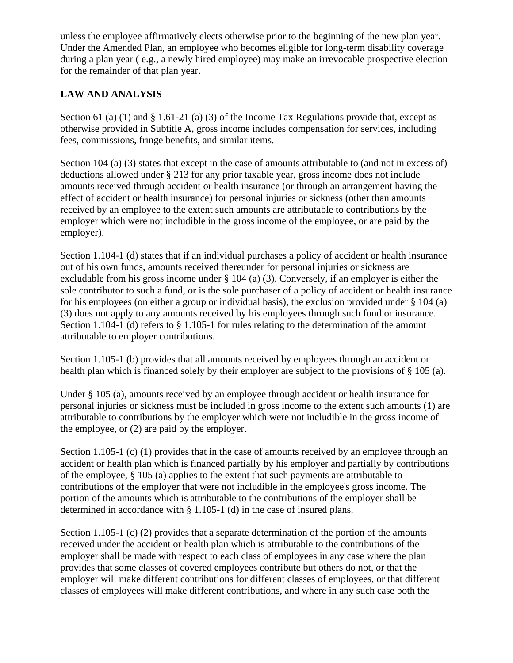unless the employee affirmatively elects otherwise prior to the beginning of the new plan year. Under the Amended Plan, an employee who becomes eligible for long-term disability coverage during a plan year ( e.g., a newly hired employee) may make an irrevocable prospective election for the remainder of that plan year.

### **LAW AND ANALYSIS**

Section 61 (a) (1) and § 1.61-21 (a) (3) of the Income Tax Regulations provide that, except as otherwise provided in Subtitle A, gross income includes compensation for services, including fees, commissions, fringe benefits, and similar items.

Section 104 (a) (3) states that except in the case of amounts attributable to (and not in excess of) deductions allowed under § 213 for any prior taxable year, gross income does not include amounts received through accident or health insurance (or through an arrangement having the effect of accident or health insurance) for personal injuries or sickness (other than amounts received by an employee to the extent such amounts are attributable to contributions by the employer which were not includible in the gross income of the employee, or are paid by the employer).

Section 1.104-1 (d) states that if an individual purchases a policy of accident or health insurance out of his own funds, amounts received thereunder for personal injuries or sickness are excludable from his gross income under § 104 (a) (3). Conversely, if an employer is either the sole contributor to such a fund, or is the sole purchaser of a policy of accident or health insurance for his employees (on either a group or individual basis), the exclusion provided under  $\S$  104 (a) (3) does not apply to any amounts received by his employees through such fund or insurance. Section 1.104-1 (d) refers to § 1.105-1 for rules relating to the determination of the amount attributable to employer contributions.

Section 1.105-1 (b) provides that all amounts received by employees through an accident or health plan which is financed solely by their employer are subject to the provisions of § 105 (a).

Under § 105 (a), amounts received by an employee through accident or health insurance for personal injuries or sickness must be included in gross income to the extent such amounts (1) are attributable to contributions by the employer which were not includible in the gross income of the employee, or (2) are paid by the employer.

Section 1.105-1 (c) (1) provides that in the case of amounts received by an employee through an accident or health plan which is financed partially by his employer and partially by contributions of the employee, § 105 (a) applies to the extent that such payments are attributable to contributions of the employer that were not includible in the employee's gross income. The portion of the amounts which is attributable to the contributions of the employer shall be determined in accordance with § 1.105-1 (d) in the case of insured plans.

Section 1.105-1 (c) (2) provides that a separate determination of the portion of the amounts received under the accident or health plan which is attributable to the contributions of the employer shall be made with respect to each class of employees in any case where the plan provides that some classes of covered employees contribute but others do not, or that the employer will make different contributions for different classes of employees, or that different classes of employees will make different contributions, and where in any such case both the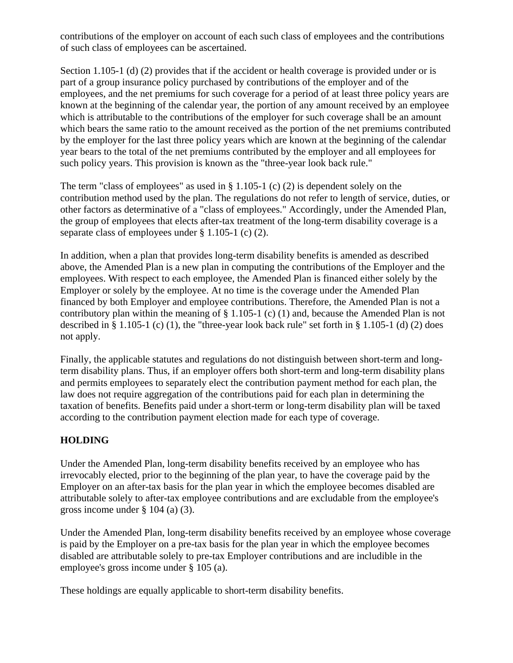contributions of the employer on account of each such class of employees and the contributions of such class of employees can be ascertained.

Section 1.105-1 (d) (2) provides that if the accident or health coverage is provided under or is part of a group insurance policy purchased by contributions of the employer and of the employees, and the net premiums for such coverage for a period of at least three policy years are known at the beginning of the calendar year, the portion of any amount received by an employee which is attributable to the contributions of the employer for such coverage shall be an amount which bears the same ratio to the amount received as the portion of the net premiums contributed by the employer for the last three policy years which are known at the beginning of the calendar year bears to the total of the net premiums contributed by the employer and all employees for such policy years. This provision is known as the "three-year look back rule."

The term "class of employees" as used in § 1.105-1 (c) (2) is dependent solely on the contribution method used by the plan. The regulations do not refer to length of service, duties, or other factors as determinative of a "class of employees." Accordingly, under the Amended Plan, the group of employees that elects after-tax treatment of the long-term disability coverage is a separate class of employees under § 1.105-1 (c) (2).

In addition, when a plan that provides long-term disability benefits is amended as described above, the Amended Plan is a new plan in computing the contributions of the Employer and the employees. With respect to each employee, the Amended Plan is financed either solely by the Employer or solely by the employee. At no time is the coverage under the Amended Plan financed by both Employer and employee contributions. Therefore, the Amended Plan is not a contributory plan within the meaning of § 1.105-1 (c) (1) and, because the Amended Plan is not described in § 1.105-1 (c) (1), the "three-year look back rule" set forth in § 1.105-1 (d) (2) does not apply.

Finally, the applicable statutes and regulations do not distinguish between short-term and longterm disability plans. Thus, if an employer offers both short-term and long-term disability plans and permits employees to separately elect the contribution payment method for each plan, the law does not require aggregation of the contributions paid for each plan in determining the taxation of benefits. Benefits paid under a short-term or long-term disability plan will be taxed according to the contribution payment election made for each type of coverage.

# **HOLDING**

Under the Amended Plan, long-term disability benefits received by an employee who has irrevocably elected, prior to the beginning of the plan year, to have the coverage paid by the Employer on an after-tax basis for the plan year in which the employee becomes disabled are attributable solely to after-tax employee contributions and are excludable from the employee's gross income under § 104 (a) (3).

Under the Amended Plan, long-term disability benefits received by an employee whose coverage is paid by the Employer on a pre-tax basis for the plan year in which the employee becomes disabled are attributable solely to pre-tax Employer contributions and are includible in the employee's gross income under § 105 (a).

These holdings are equally applicable to short-term disability benefits.